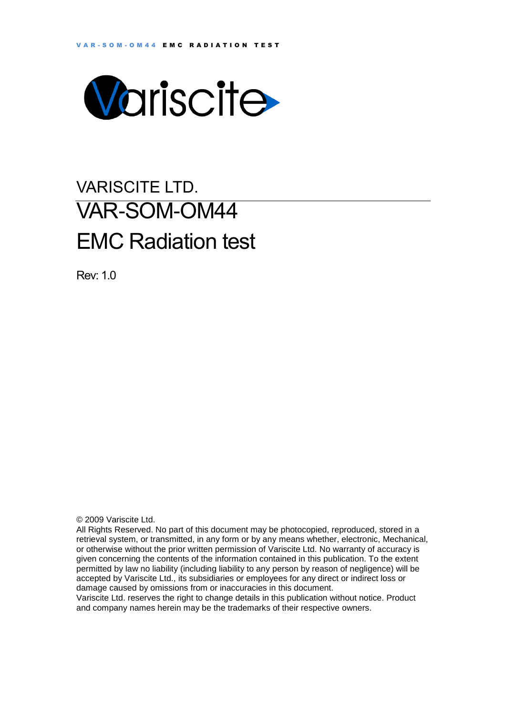

# VARISCITE LTD. VAR-SOM-OM44 EMC Radiation test

Rev: 1.0

© 2009 Variscite Ltd.

All Rights Reserved. No part of this document may be photocopied, reproduced, stored in a retrieval system, or transmitted, in any form or by any means whether, electronic, Mechanical, or otherwise without the prior written permission of Variscite Ltd. No warranty of accuracy is given concerning the contents of the information contained in this publication. To the extent permitted by law no liability (including liability to any person by reason of negligence) will be accepted by Variscite Ltd., its subsidiaries or employees for any direct or indirect loss or damage caused by omissions from or inaccuracies in this document.

Variscite Ltd. reserves the right to change details in this publication without notice. Product and company names herein may be the trademarks of their respective owners.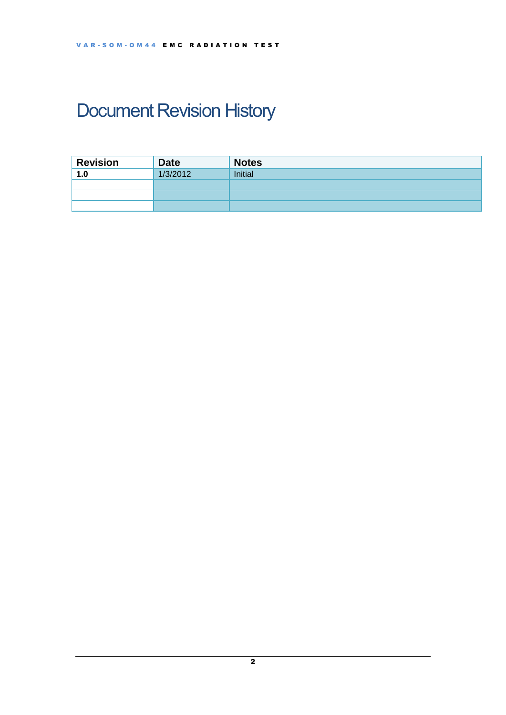# <span id="page-1-0"></span>Document Revision History

| <b>Revision</b> | <b>Date</b> | <b>Notes</b> |
|-----------------|-------------|--------------|
| 1.0             | 1/3/2012    | Initial      |
|                 |             |              |
|                 |             |              |
|                 |             |              |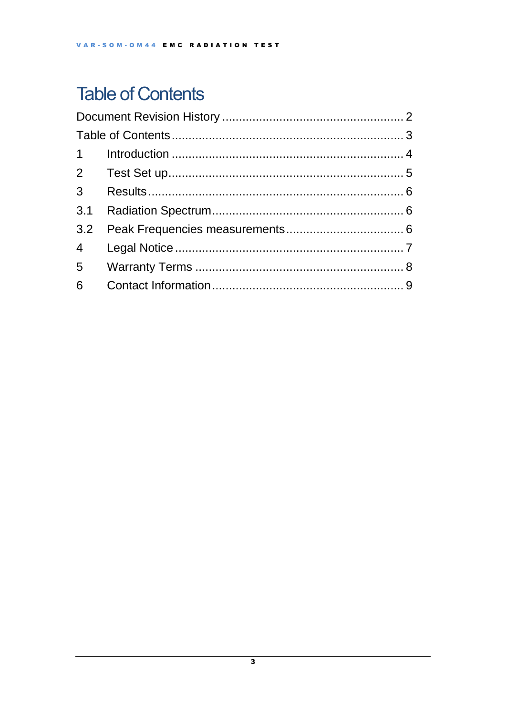## <span id="page-2-0"></span>**Table of Contents**

| 3.1 |  |  |  |  |
|-----|--|--|--|--|
|     |  |  |  |  |
|     |  |  |  |  |
|     |  |  |  |  |
|     |  |  |  |  |
|     |  |  |  |  |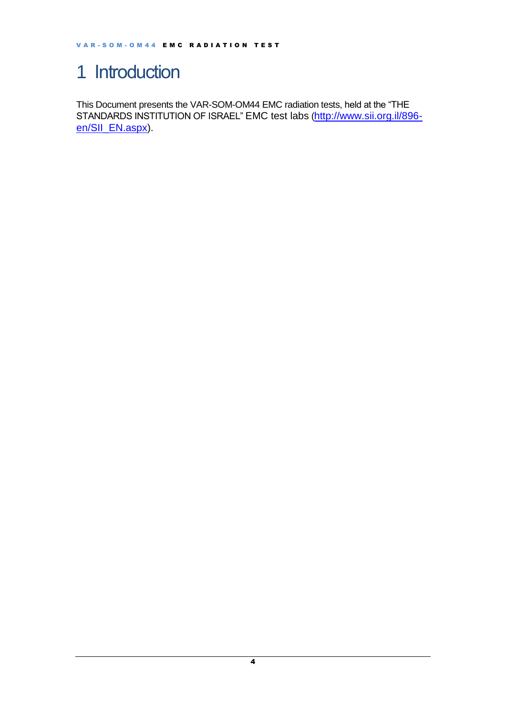### <span id="page-3-0"></span>1 Introduction

This Document presents the VAR-SOM-OM44 EMC radiation tests, held at the "THE STANDARDS INSTITUTION OF ISRAEL" EMC test labs ([http://www.sii.org.il/896](http://www.sii.org.il/896-en/SII_EN.aspx) [en/SII\\_EN.aspx\)](http://www.sii.org.il/896-en/SII_EN.aspx).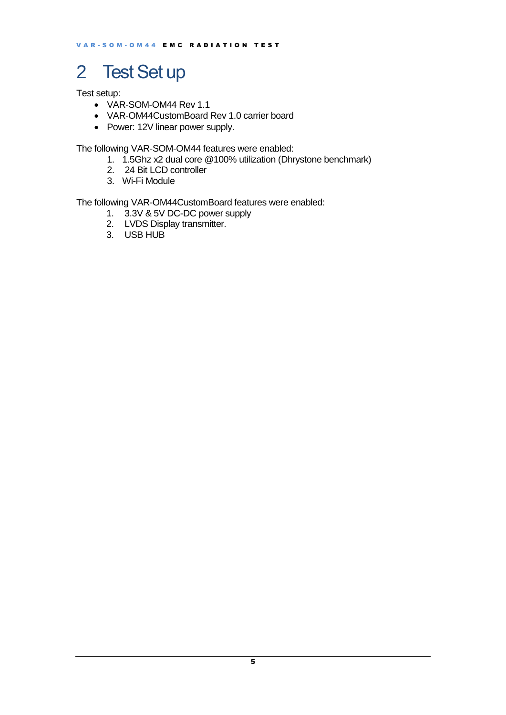## <span id="page-4-0"></span>2 Test Set up

Test setup:

- VAR-SOM-OM44 Rev 1.1
- VAR-OM44CustomBoard Rev 1.0 carrier board
- Power: 12V linear power supply.

The following VAR-SOM-OM44 features were enabled:

- 1. 1.5Ghz x2 dual core @100% utilization (Dhrystone benchmark)
- 2. 24 Bit LCD controller
- 3. Wi-Fi Module

The following VAR-OM44CustomBoard features were enabled:

- 1. 3.3V & 5V DC-DC power supply
- 2. LVDS Display transmitter.
- 3. USB HUB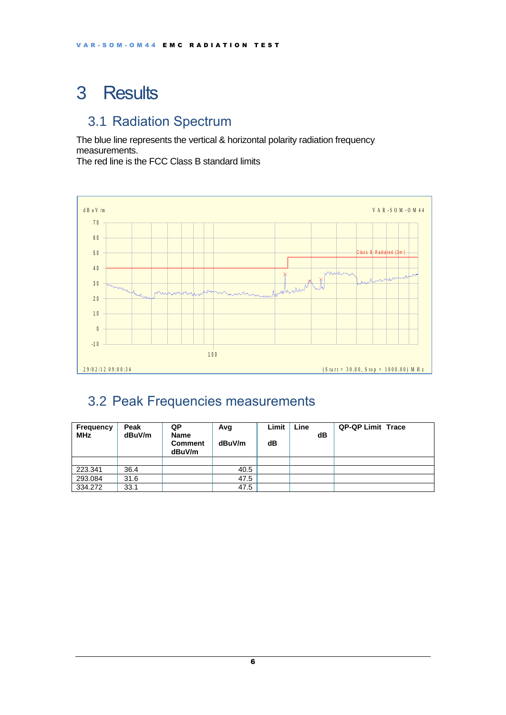## <span id="page-5-0"></span>3 Results

#### <span id="page-5-1"></span>3.1 Radiation Spectrum

The blue line represents the vertical & horizontal polarity radiation frequency measurements.

The red line is the FCC Class B standard limits



#### <span id="page-5-2"></span>3.2 Peak Frequencies measurements

| Frequency<br><b>MHz</b> | Peak<br>dBuV/m | QP<br><b>Name</b><br><b>Comment</b><br>dBuV/m | Avg<br>dBuV/m | Limit<br>dB | Line | dB | <b>QP-QP Limit Trace</b> |  |
|-------------------------|----------------|-----------------------------------------------|---------------|-------------|------|----|--------------------------|--|
|                         |                |                                               |               |             |      |    |                          |  |
| 223.341                 | 36.4           |                                               | 40.5          |             |      |    |                          |  |
| 293.084                 | 31.6           |                                               | 47.5          |             |      |    |                          |  |
| 334.272                 | 33.1           |                                               | 47.5          |             |      |    |                          |  |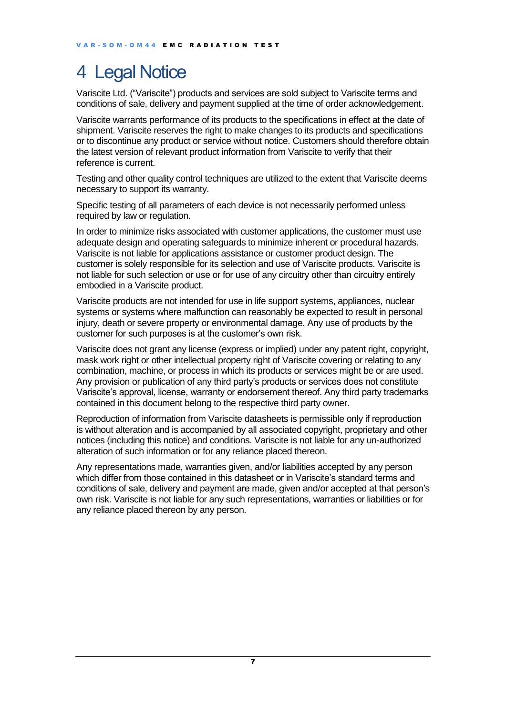### <span id="page-6-0"></span>4 Legal Notice

Variscite Ltd. ("Variscite") products and services are sold subject to Variscite terms and conditions of sale, delivery and payment supplied at the time of order acknowledgement.

Variscite warrants performance of its products to the specifications in effect at the date of shipment. Variscite reserves the right to make changes to its products and specifications or to discontinue any product or service without notice. Customers should therefore obtain the latest version of relevant product information from Variscite to verify that their reference is current.

Testing and other quality control techniques are utilized to the extent that Variscite deems necessary to support its warranty.

Specific testing of all parameters of each device is not necessarily performed unless required by law or regulation.

In order to minimize risks associated with customer applications, the customer must use adequate design and operating safeguards to minimize inherent or procedural hazards. Variscite is not liable for applications assistance or customer product design. The customer is solely responsible for its selection and use of Variscite products. Variscite is not liable for such selection or use or for use of any circuitry other than circuitry entirely embodied in a Variscite product.

Variscite products are not intended for use in life support systems, appliances, nuclear systems or systems where malfunction can reasonably be expected to result in personal injury, death or severe property or environmental damage. Any use of products by the customer for such purposes is at the customer's own risk.

Variscite does not grant any license (express or implied) under any patent right, copyright, mask work right or other intellectual property right of Variscite covering or relating to any combination, machine, or process in which its products or services might be or are used. Any provision or publication of any third party's products or services does not constitute Variscite's approval, license, warranty or endorsement thereof. Any third party trademarks contained in this document belong to the respective third party owner.

Reproduction of information from Variscite datasheets is permissible only if reproduction is without alteration and is accompanied by all associated copyright, proprietary and other notices (including this notice) and conditions. Variscite is not liable for any un-authorized alteration of such information or for any reliance placed thereon.

Any representations made, warranties given, and/or liabilities accepted by any person which differ from those contained in this datasheet or in Variscite's standard terms and conditions of sale, delivery and payment are made, given and/or accepted at that person's own risk. Variscite is not liable for any such representations, warranties or liabilities or for any reliance placed thereon by any person.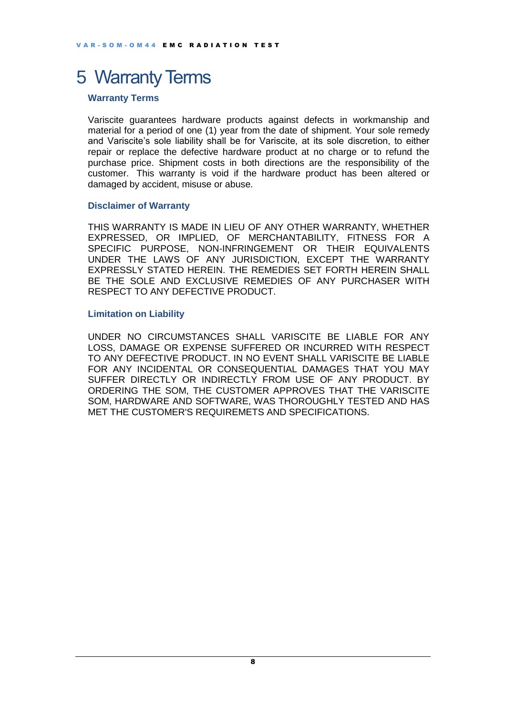### <span id="page-7-0"></span>5 Warranty Terms

#### **Warranty Terms**

Variscite guarantees hardware products against defects in workmanship and material for a period of one (1) year from the date of shipment. Your sole remedy and Variscite's sole liability shall be for Variscite, at its sole discretion, to either repair or replace the defective hardware product at no charge or to refund the purchase price. Shipment costs in both directions are the responsibility of the customer. This warranty is void if the hardware product has been altered or damaged by accident, misuse or abuse.

#### **Disclaimer of Warranty**

THIS WARRANTY IS MADE IN LIEU OF ANY OTHER WARRANTY, WHETHER EXPRESSED, OR IMPLIED, OF MERCHANTABILITY, FITNESS FOR A SPECIFIC PURPOSE, NON-INFRINGEMENT OR THEIR EQUIVALENTS UNDER THE LAWS OF ANY JURISDICTION, EXCEPT THE WARRANTY EXPRESSLY STATED HEREIN. THE REMEDIES SET FORTH HEREIN SHALL BE THE SOLE AND EXCLUSIVE REMEDIES OF ANY PURCHASER WITH RESPECT TO ANY DEFECTIVE PRODUCT.

#### **Limitation on Liability**

UNDER NO CIRCUMSTANCES SHALL VARISCITE BE LIABLE FOR ANY LOSS, DAMAGE OR EXPENSE SUFFERED OR INCURRED WITH RESPECT TO ANY DEFECTIVE PRODUCT. IN NO EVENT SHALL VARISCITE BE LIABLE FOR ANY INCIDENTAL OR CONSEQUENTIAL DAMAGES THAT YOU MAY SUFFER DIRECTLY OR INDIRECTLY FROM USE OF ANY PRODUCT. BY ORDERING THE SOM, THE CUSTOMER APPROVES THAT THE VARISCITE SOM, HARDWARE AND SOFTWARE, WAS THOROUGHLY TESTED AND HAS MET THE CUSTOMER'S REQUIREMETS AND SPECIFICATIONS.